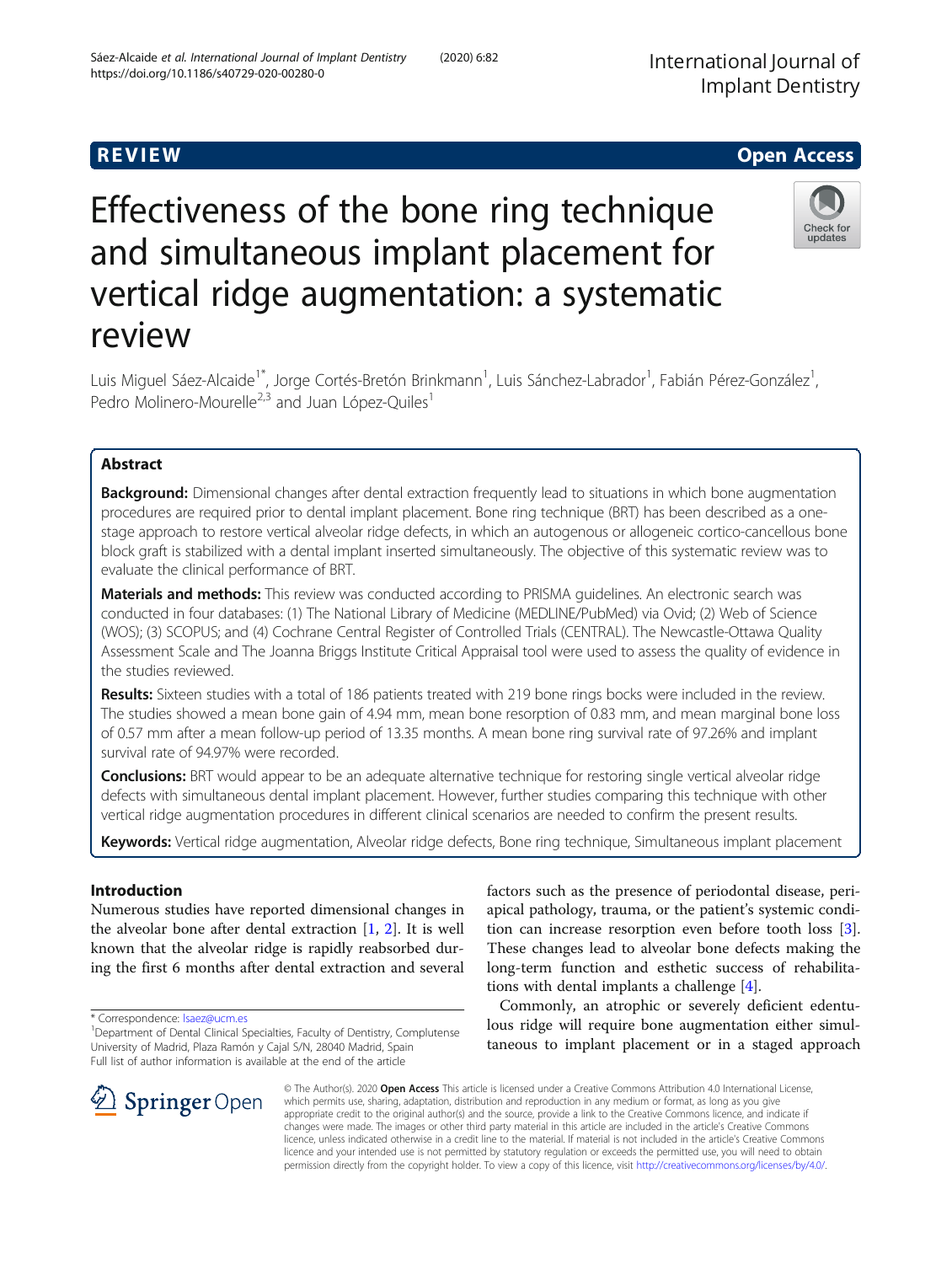# R EVI EW Open Access

# Effectiveness of the bone ring technique and simultaneous implant placement for vertical ridge augmentation: a systematic review

Luis Miguel Sáez-Alcaide<sup>1\*</sup>, Jorge Cortés-Bretón Brinkmann<sup>1</sup>, Luis Sánchez-Labrador<sup>1</sup>, Fabián Pérez-González<sup>1</sup> , Pedro Molinero-Mourelle<sup>2,3</sup> and Juan López-Quiles<sup>1</sup>

# Abstract

**Background:** Dimensional changes after dental extraction frequently lead to situations in which bone augmentation procedures are required prior to dental implant placement. Bone ring technique (BRT) has been described as a onestage approach to restore vertical alveolar ridge defects, in which an autogenous or allogeneic cortico-cancellous bone block graft is stabilized with a dental implant inserted simultaneously. The objective of this systematic review was to evaluate the clinical performance of BRT.

Materials and methods: This review was conducted according to PRISMA quidelines. An electronic search was conducted in four databases: (1) The National Library of Medicine (MEDLINE/PubMed) via Ovid; (2) Web of Science (WOS); (3) SCOPUS; and (4) Cochrane Central Register of Controlled Trials (CENTRAL). The Newcastle-Ottawa Quality Assessment Scale and The Joanna Briggs Institute Critical Appraisal tool were used to assess the quality of evidence in the studies reviewed.

Results: Sixteen studies with a total of 186 patients treated with 219 bone rings bocks were included in the review. The studies showed a mean bone gain of 4.94 mm, mean bone resorption of 0.83 mm, and mean marginal bone loss of 0.57 mm after a mean follow-up period of 13.35 months. A mean bone ring survival rate of 97.26% and implant survival rate of 94.97% were recorded.

Conclusions: BRT would appear to be an adequate alternative technique for restoring single vertical alveolar ridge defects with simultaneous dental implant placement. However, further studies comparing this technique with other vertical ridge augmentation procedures in different clinical scenarios are needed to confirm the present results.

Keywords: Vertical ridge augmentation, Alveolar ridge defects, Bone ring technique, Simultaneous implant placement

# Introduction

Numerous studies have reported dimensional changes in the alveolar bone after dental extraction  $[1, 2]$  $[1, 2]$  $[1, 2]$ . It is well known that the alveolar ridge is rapidly reabsorbed during the first 6 months after dental extraction and several

\* Correspondence: [lsaez@ucm.es](mailto:lsaez@ucm.es) <sup>1</sup>

factors such as the presence of periodontal disease, periapical pathology, trauma, or the patient's systemic condition can increase resorption even before tooth loss [\[3](#page-7-0)]. These changes lead to alveolar bone defects making the long-term function and esthetic success of rehabilitations with dental implants a challenge [\[4](#page-7-0)].

Commonly, an atrophic or severely deficient edentulous ridge will require bone augmentation either simultaneous to implant placement or in a staged approach





© The Author(s). 2020 Open Access This article is licensed under a Creative Commons Attribution 4.0 International License, which permits use, sharing, adaptation, distribution and reproduction in any medium or format, as long as you give appropriate credit to the original author(s) and the source, provide a link to the Creative Commons licence, and indicate if changes were made. The images or other third party material in this article are included in the article's Creative Commons licence, unless indicated otherwise in a credit line to the material. If material is not included in the article's Creative Commons licence and your intended use is not permitted by statutory regulation or exceeds the permitted use, you will need to obtain permission directly from the copyright holder. To view a copy of this licence, visit <http://creativecommons.org/licenses/by/4.0/>.

<sup>&</sup>lt;sup>1</sup> Department of Dental Clinical Specialties, Faculty of Dentistry, Complutense University of Madrid, Plaza Ramón y Cajal S/N, 28040 Madrid, Spain Full list of author information is available at the end of the article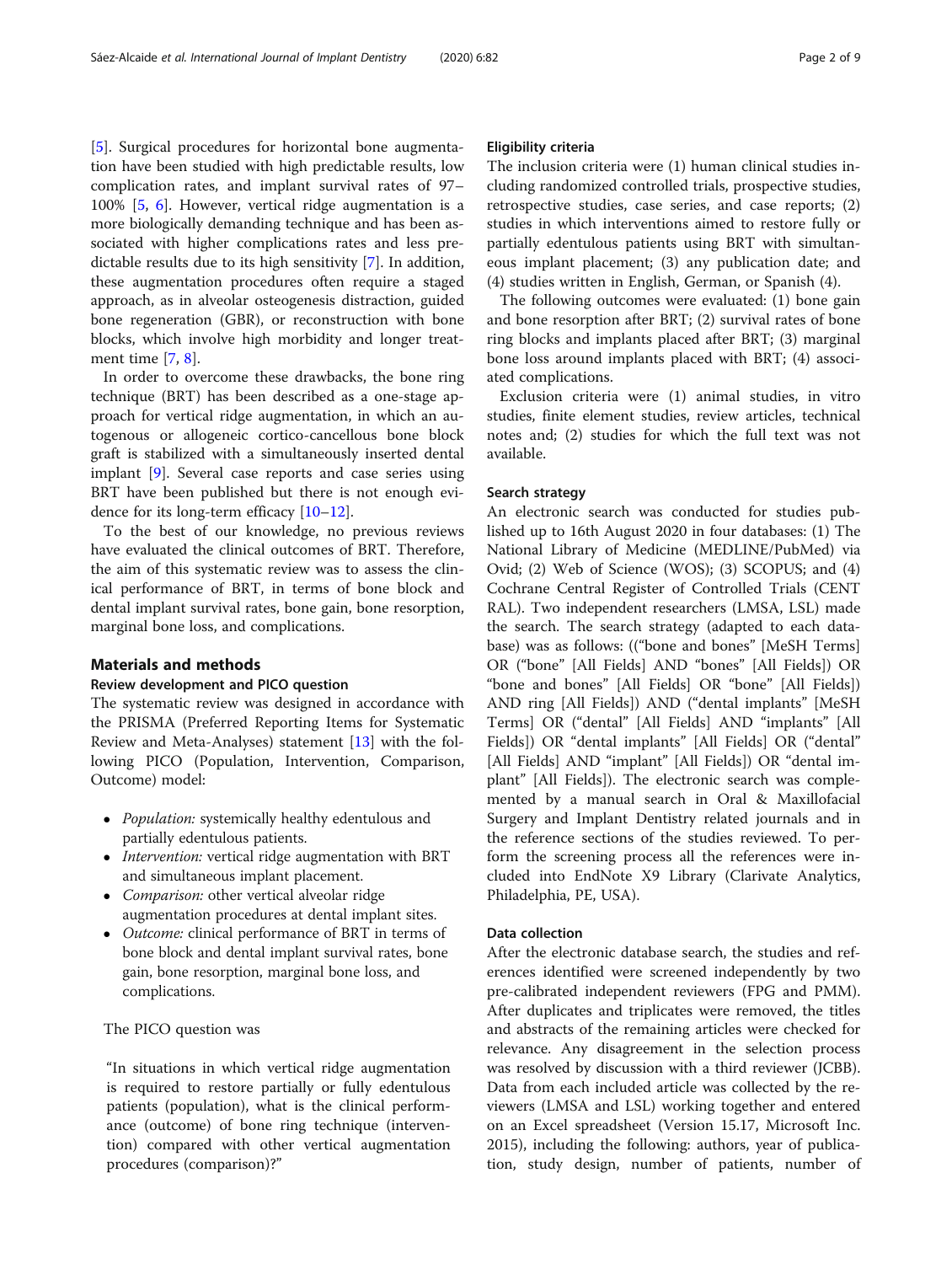[[5\]](#page-7-0). Surgical procedures for horizontal bone augmentation have been studied with high predictable results, low complication rates, and implant survival rates of 97– 100% [[5,](#page-7-0) [6](#page-7-0)]. However, vertical ridge augmentation is a more biologically demanding technique and has been associated with higher complications rates and less predictable results due to its high sensitivity [[7\]](#page-7-0). In addition, these augmentation procedures often require a staged approach, as in alveolar osteogenesis distraction, guided bone regeneration (GBR), or reconstruction with bone blocks, which involve high morbidity and longer treatment time [\[7](#page-7-0), [8](#page-7-0)].

In order to overcome these drawbacks, the bone ring technique (BRT) has been described as a one-stage approach for vertical ridge augmentation, in which an autogenous or allogeneic cortico-cancellous bone block graft is stabilized with a simultaneously inserted dental implant [\[9\]](#page-7-0). Several case reports and case series using BRT have been published but there is not enough evidence for its long-term efficacy [[10](#page-7-0)–[12](#page-7-0)].

To the best of our knowledge, no previous reviews have evaluated the clinical outcomes of BRT. Therefore, the aim of this systematic review was to assess the clinical performance of BRT, in terms of bone block and dental implant survival rates, bone gain, bone resorption, marginal bone loss, and complications.

# Materials and methods

# Review development and PICO question

The systematic review was designed in accordance with the PRISMA (Preferred Reporting Items for Systematic Review and Meta-Analyses) statement [[13\]](#page-7-0) with the following PICO (Population, Intervention, Comparison, Outcome) model:

- Population: systemically healthy edentulous and partially edentulous patients.
- Intervention: vertical ridge augmentation with BRT and simultaneous implant placement.
- Comparison: other vertical alveolar ridge augmentation procedures at dental implant sites.
- *Outcome:* clinical performance of BRT in terms of bone block and dental implant survival rates, bone gain, bone resorption, marginal bone loss, and complications.

# The PICO question was

"In situations in which vertical ridge augmentation is required to restore partially or fully edentulous patients (population), what is the clinical performance (outcome) of bone ring technique (intervention) compared with other vertical augmentation procedures (comparison)?"

#### Eligibility criteria

The inclusion criteria were (1) human clinical studies including randomized controlled trials, prospective studies, retrospective studies, case series, and case reports; (2) studies in which interventions aimed to restore fully or partially edentulous patients using BRT with simultaneous implant placement; (3) any publication date; and (4) studies written in English, German, or Spanish (4).

The following outcomes were evaluated: (1) bone gain and bone resorption after BRT; (2) survival rates of bone ring blocks and implants placed after BRT; (3) marginal bone loss around implants placed with BRT; (4) associated complications.

Exclusion criteria were (1) animal studies, in vitro studies, finite element studies, review articles, technical notes and; (2) studies for which the full text was not available.

## Search strategy

An electronic search was conducted for studies published up to 16th August 2020 in four databases: (1) The National Library of Medicine (MEDLINE/PubMed) via Ovid; (2) Web of Science (WOS); (3) SCOPUS; and (4) Cochrane Central Register of Controlled Trials (CENT RAL). Two independent researchers (LMSA, LSL) made the search. The search strategy (adapted to each database) was as follows: (("bone and bones" [MeSH Terms] OR ("bone" [All Fields] AND "bones" [All Fields]) OR "bone and bones" [All Fields] OR "bone" [All Fields]) AND ring [All Fields]) AND ("dental implants" [MeSH Terms] OR ("dental" [All Fields] AND "implants" [All Fields]) OR "dental implants" [All Fields] OR ("dental" [All Fields] AND "implant" [All Fields]) OR "dental implant" [All Fields]). The electronic search was complemented by a manual search in Oral & Maxillofacial Surgery and Implant Dentistry related journals and in the reference sections of the studies reviewed. To perform the screening process all the references were included into EndNote X9 Library (Clarivate Analytics, Philadelphia, PE, USA).

### Data collection

After the electronic database search, the studies and references identified were screened independently by two pre-calibrated independent reviewers (FPG and PMM). After duplicates and triplicates were removed, the titles and abstracts of the remaining articles were checked for relevance. Any disagreement in the selection process was resolved by discussion with a third reviewer (JCBB). Data from each included article was collected by the reviewers (LMSA and LSL) working together and entered on an Excel spreadsheet (Version 15.17, Microsoft Inc. 2015), including the following: authors, year of publication, study design, number of patients, number of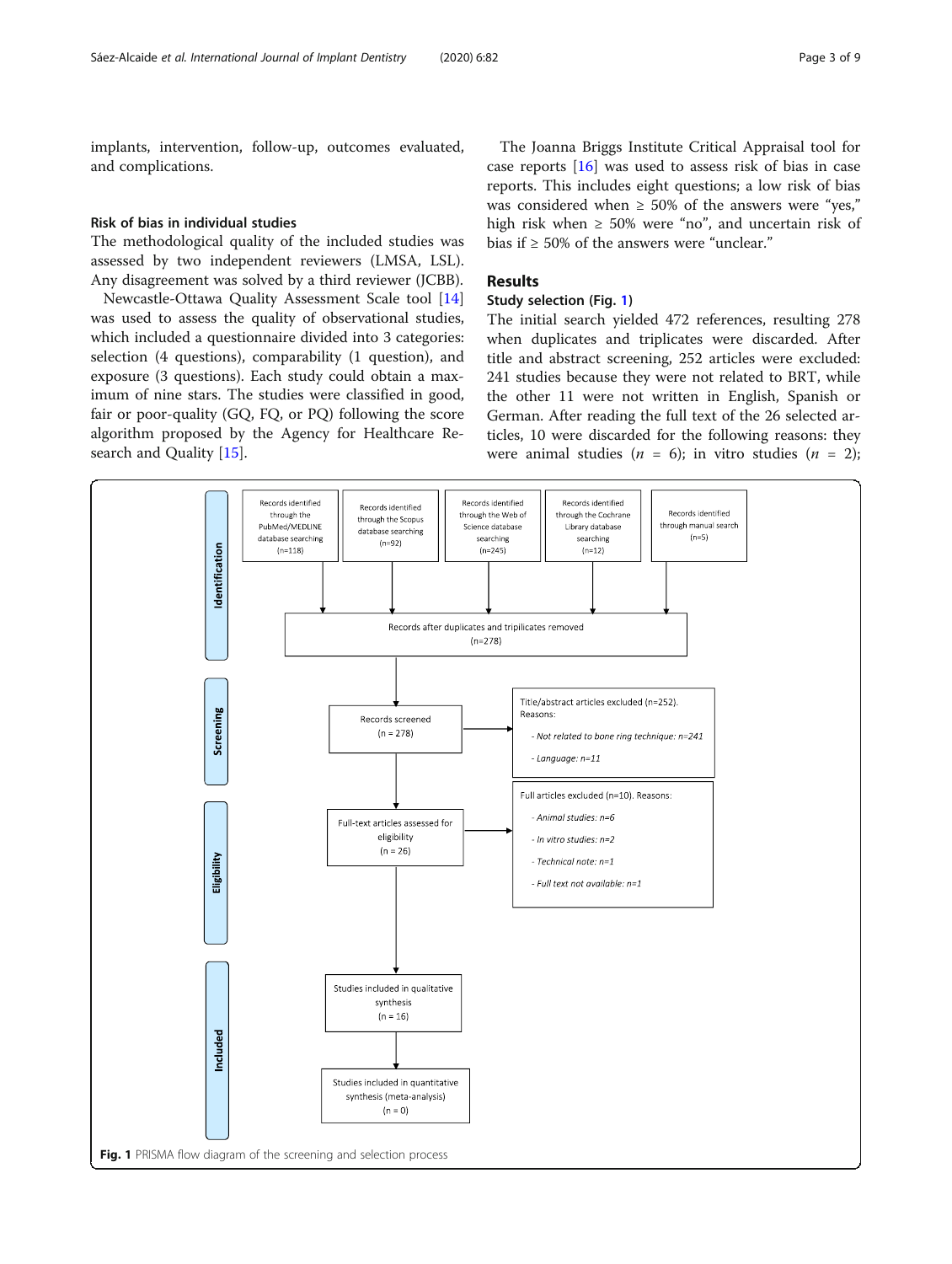<span id="page-2-0"></span>implants, intervention, follow-up, outcomes evaluated, and complications.

#### Risk of bias in individual studies

The methodological quality of the included studies was assessed by two independent reviewers (LMSA, LSL). Any disagreement was solved by a third reviewer (JCBB).

Newcastle-Ottawa Quality Assessment Scale tool [[14](#page-8-0)] was used to assess the quality of observational studies, which included a questionnaire divided into 3 categories: selection (4 questions), comparability (1 question), and exposure (3 questions). Each study could obtain a maximum of nine stars. The studies were classified in good, fair or poor-quality (GQ, FQ, or PQ) following the score algorithm proposed by the Agency for Healthcare Research and Quality [[15\]](#page-8-0).

The Joanna Briggs Institute Critical Appraisal tool for case reports [[16](#page-8-0)] was used to assess risk of bias in case reports. This includes eight questions; a low risk of bias was considered when  $\geq$  50% of the answers were "yes," high risk when  $\geq 50\%$  were "no", and uncertain risk of bias if  $\geq 50\%$  of the answers were "unclear."

# Results

# Study selection (Fig. 1)

The initial search yielded 472 references, resulting 278 when duplicates and triplicates were discarded. After title and abstract screening, 252 articles were excluded: 241 studies because they were not related to BRT, while the other 11 were not written in English, Spanish or German. After reading the full text of the 26 selected articles, 10 were discarded for the following reasons: they were animal studies ( $n = 6$ ); in vitro studies ( $n = 2$ );

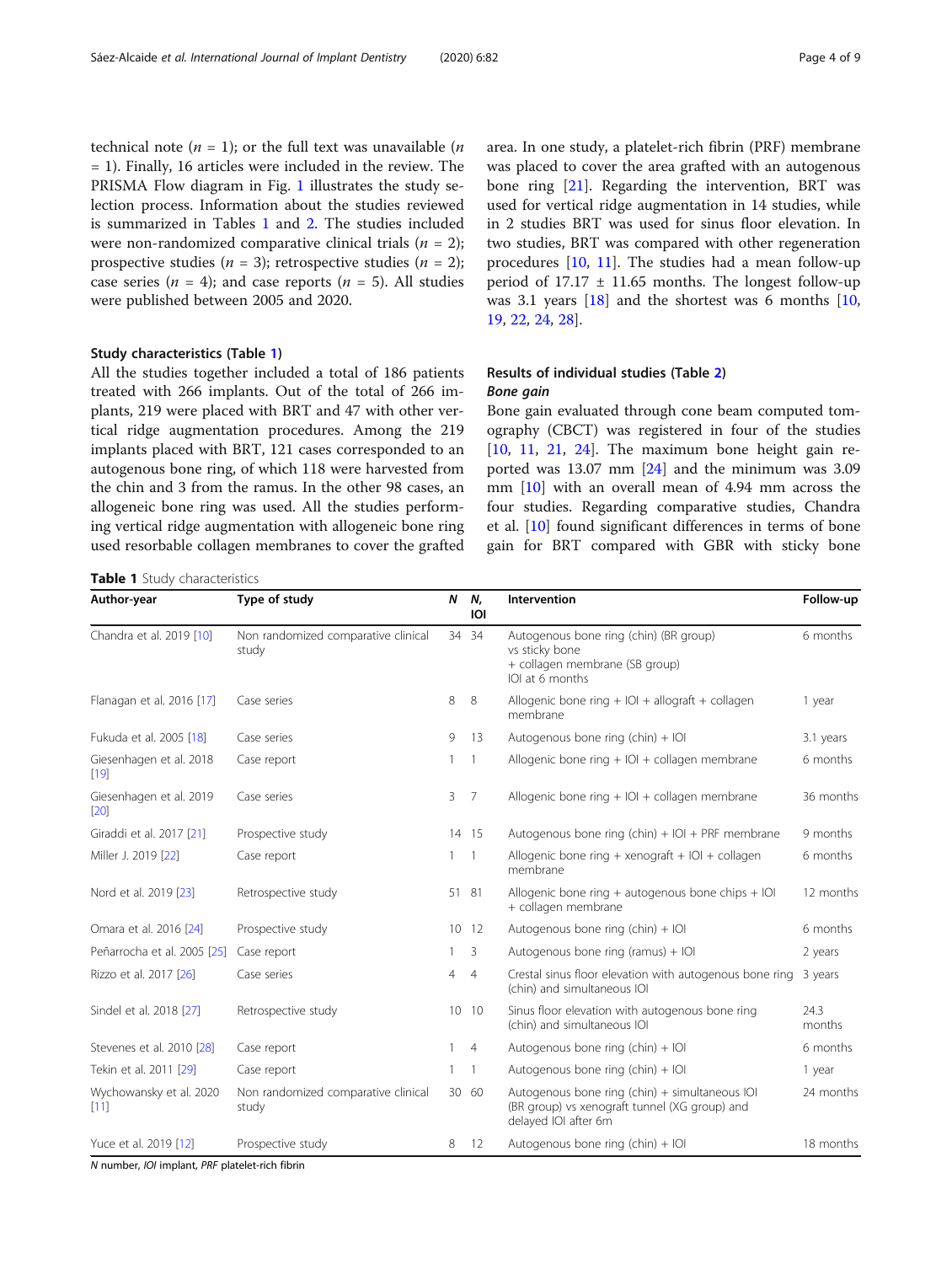<span id="page-3-0"></span>technical note ( $n = 1$ ); or the full text was unavailable ( $n$ = 1). Finally, 16 articles were included in the review. The PRISMA Flow diagram in Fig. [1](#page-2-0) illustrates the study selection process. Information about the studies reviewed is summarized in Tables 1 and [2.](#page-4-0) The studies included were non-randomized comparative clinical trials  $(n = 2)$ ; prospective studies ( $n = 3$ ); retrospective studies ( $n = 2$ ); case series ( $n = 4$ ); and case reports ( $n = 5$ ). All studies were published between 2005 and 2020.

#### Study characteristics (Table 1)

All the studies together included a total of 186 patients treated with 266 implants. Out of the total of 266 implants, 219 were placed with BRT and 47 with other vertical ridge augmentation procedures. Among the 219 implants placed with BRT, 121 cases corresponded to an autogenous bone ring, of which 118 were harvested from the chin and 3 from the ramus. In the other 98 cases, an allogeneic bone ring was used. All the studies performing vertical ridge augmentation with allogeneic bone ring used resorbable collagen membranes to cover the grafted

#### Table 1 Study characteristics

area. In one study, a platelet-rich fibrin (PRF) membrane was placed to cover the area grafted with an autogenous bone ring [[21](#page-8-0)]. Regarding the intervention, BRT was used for vertical ridge augmentation in 14 studies, while in 2 studies BRT was used for sinus floor elevation. In two studies, BRT was compared with other regeneration procedures [\[10](#page-7-0), [11](#page-7-0)]. The studies had a mean follow-up period of  $17.17 \pm 11.65$  months. The longest follow-up was 3.1 years  $[18]$  $[18]$  $[18]$  and the shortest was 6 months  $[10, 10]$  $[10, 10]$  $[10, 10]$ [19,](#page-8-0) [22](#page-8-0), [24](#page-8-0), [28](#page-8-0)].

# Results of individual studies (Table [2\)](#page-4-0) Bone gain

Bone gain evaluated through cone beam computed tomography (CBCT) was registered in four of the studies  $[10, 11, 21, 24]$  $[10, 11, 21, 24]$  $[10, 11, 21, 24]$  $[10, 11, 21, 24]$  $[10, 11, 21, 24]$  $[10, 11, 21, 24]$  $[10, 11, 21, 24]$  $[10, 11, 21, 24]$  $[10, 11, 21, 24]$ . The maximum bone height gain reported was 13.07 mm [[24](#page-8-0)] and the minimum was 3.09 mm [[10\]](#page-7-0) with an overall mean of 4.94 mm across the four studies. Regarding comparative studies, Chandra et al. [[10\]](#page-7-0) found significant differences in terms of bone gain for BRT compared with GBR with sticky bone

| Type of study<br>Author-year      |                                              | N              | Ν,<br>IOI                                               | Intervention                                                                                                            | Follow-up      |  |
|-----------------------------------|----------------------------------------------|----------------|---------------------------------------------------------|-------------------------------------------------------------------------------------------------------------------------|----------------|--|
| Chandra et al. 2019 [10]          | Non randomized comparative clinical<br>study |                | 34 34                                                   | Autogenous bone ring (chin) (BR group)<br>vs sticky bone<br>+ collagen membrane (SB group)<br>IOI at 6 months           | 6 months       |  |
| Flanagan et al. 2016 [17]         | Case series                                  | 8              | 8                                                       | Allogenic bone ring $+$ IOI $+$ allograft $+$ collagen<br>membrane                                                      | 1 year         |  |
| Fukuda et al. 2005 [18]           | Case series                                  | 9              | -13                                                     | Autogenous bone ring (chin) $+$ IOI                                                                                     | 3.1 years      |  |
| Giesenhagen et al. 2018<br>$[19]$ | Case report                                  | 1              | Allogenic bone ring + IOI + collagen membrane<br>1      |                                                                                                                         | 6 months       |  |
| Giesenhagen et al. 2019<br>[20]   | Case series                                  | 3              | Allogenic bone ring $+$ IOI $+$ collagen membrane<br>-7 |                                                                                                                         | 36 months      |  |
| Giraddi et al. 2017 [21]          | Prospective study                            |                | 14 15                                                   | Autogenous bone ring (chin) + IOI + PRF membrane                                                                        | 9 months       |  |
| Miller J. 2019 [22]               | Case report                                  | 1.             | -1                                                      | Allogenic bone ring + xenograft + $ O $ + collagen<br>membrane                                                          | 6 months       |  |
| Nord et al. 2019 [23]             | Retrospective study                          |                | 51 81                                                   | Allogenic bone ring $+$ autogenous bone chips $+$ IOI<br>+ collagen membrane                                            | 12 months      |  |
| Omara et al. 2016 [24]            | Prospective study                            |                | 10 12                                                   | Autogenous bone ring (chin) $+$ IOI                                                                                     | 6 months       |  |
| Peñarrocha et al. 2005 [25]       | Case report                                  | $\mathbf{1}$   | 3                                                       | Autogenous bone ring (ramus) + IOI                                                                                      | 2 years        |  |
| Rizzo et al. 2017 [26]            | Case series                                  | $\overline{4}$ | $\overline{4}$                                          | Crestal sinus floor elevation with autogenous bone ring<br>(chin) and simultaneous IOI                                  | 3 years        |  |
| Sindel et al. 2018 [27]           | Retrospective study                          |                | 10 10                                                   | Sinus floor elevation with autogenous bone ring<br>(chin) and simultaneous IOI                                          | 24.3<br>months |  |
| Stevenes et al. 2010 [28]         | Case report                                  | $\mathbf{1}$   | $\overline{4}$                                          | Autogenous bone ring (chin) $+$ IOI                                                                                     | 6 months       |  |
| Tekin et al. 2011 [29]            | Case report                                  | 1.             | $\overline{1}$                                          | Autogenous bone ring (chin) $+$ IOI                                                                                     | 1 year         |  |
| Wychowansky et al. 2020<br>[11]   | Non randomized comparative clinical<br>study |                | 30 60                                                   | Autogenous bone ring (chin) + simultaneous IOI<br>(BR group) vs xenograft tunnel (XG group) and<br>delayed IOI after 6m | 24 months      |  |
| Yuce et al. 2019 [12]             | Prospective study                            | 8              | -12                                                     | Autogenous bone ring (chin) $+$ IOI                                                                                     | 18 months      |  |

N number, IOI implant, PRF platelet-rich fibrin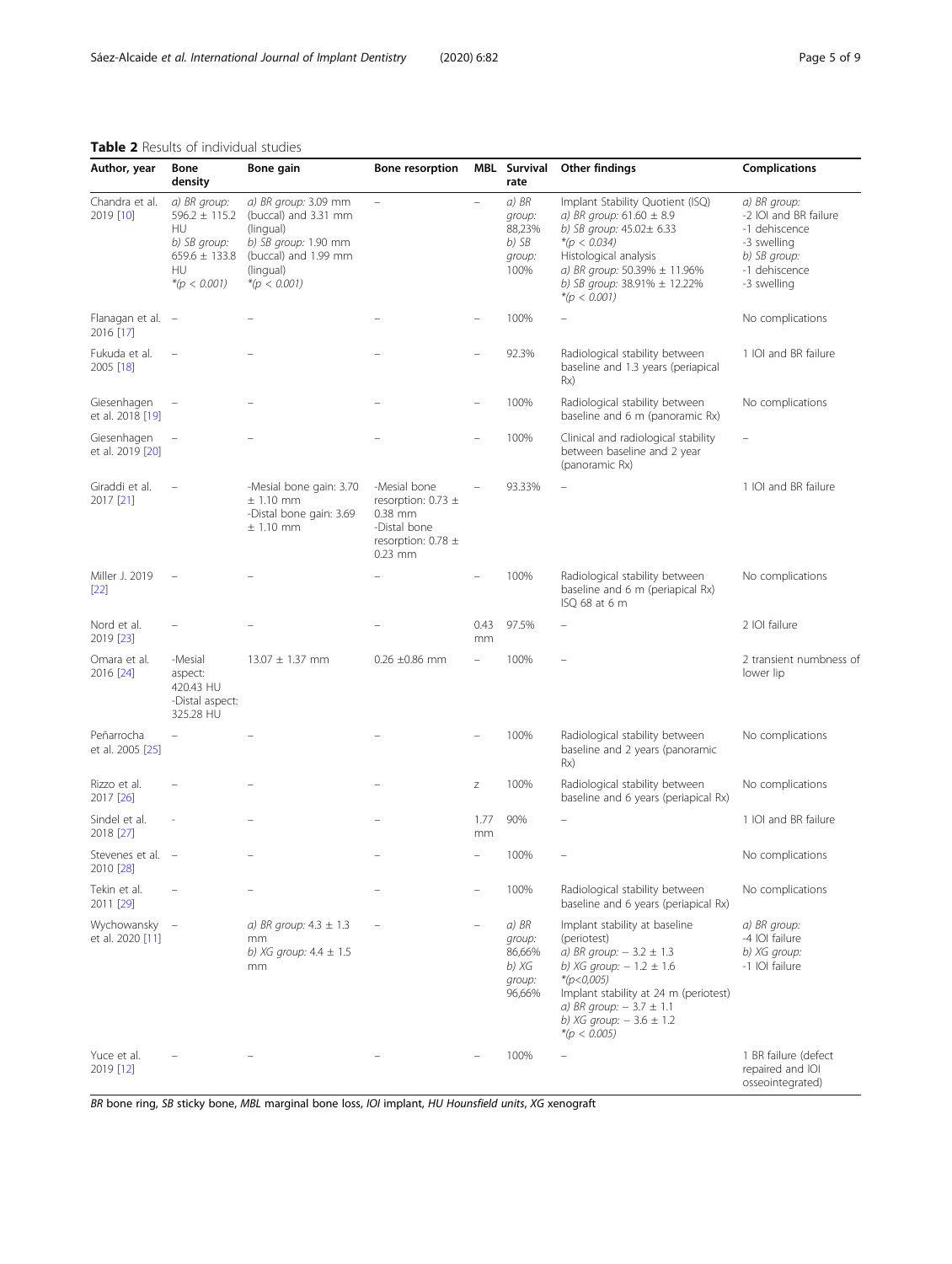# <span id="page-4-0"></span>Table 2 Results of individual studies

| Author, year                    | Bone<br>density                                                                                      | Bone gain                                                                                                                                | <b>Bone resorption</b>                                                                                   |                          | <b>MBL</b> Survival<br>rate                            | Other findings                                                                                                                                                                                                                                       | <b>Complications</b>                                                                                                  |
|---------------------------------|------------------------------------------------------------------------------------------------------|------------------------------------------------------------------------------------------------------------------------------------------|----------------------------------------------------------------------------------------------------------|--------------------------|--------------------------------------------------------|------------------------------------------------------------------------------------------------------------------------------------------------------------------------------------------------------------------------------------------------------|-----------------------------------------------------------------------------------------------------------------------|
| Chandra et al.<br>2019 [10]     | a) BR group:<br>$596.2 \pm 115.2$<br>HU<br>b) SB group:<br>$659.6 \pm 133.8$<br>HU<br>$*(p < 0.001)$ | a) BR group: 3.09 mm<br>(buccal) and 3.31 mm<br>(lingual)<br>b) SB group: 1.90 mm<br>(buccal) and 1.99 mm<br>(lingual)<br>$*(p < 0.001)$ | $\overline{\phantom{a}}$                                                                                 | $\overline{\phantom{a}}$ | a) BR<br>group:<br>88,23%<br>b) SB<br>group:<br>100%   | Implant Stability Quotient (ISQ)<br>a) BR group: $61.60 \pm 8.9$<br>b) SB group: 45.02± 6.33<br>$*(p < 0.034)$<br>Histological analysis<br>a) BR group: 50.39% ± 11.96%<br>b) SB group: $38.91\% \pm 12.22\%$<br>$*(p < 0.001)$                      | a) BR group:<br>-2 IOI and BR failure<br>-1 dehiscence<br>-3 swelling<br>b) SB group:<br>-1 dehiscence<br>-3 swelling |
| Flanagan et al. -<br>2016 [17]  |                                                                                                      |                                                                                                                                          |                                                                                                          |                          | 100%                                                   |                                                                                                                                                                                                                                                      | No complications                                                                                                      |
| Fukuda et al.<br>2005 [18]      | $\overline{\phantom{0}}$                                                                             |                                                                                                                                          |                                                                                                          |                          | 92.3%                                                  | Radiological stability between<br>baseline and 1.3 years (periapical<br>Rx)                                                                                                                                                                          | 1 IOI and BR failure                                                                                                  |
| Giesenhagen<br>et al. 2018 [19] | $\overline{\phantom{a}}$                                                                             |                                                                                                                                          |                                                                                                          |                          | 100%                                                   | Radiological stability between<br>baseline and 6 m (panoramic Rx)                                                                                                                                                                                    | No complications                                                                                                      |
| Giesenhagen<br>et al. 2019 [20] | $\overline{\phantom{a}}$                                                                             |                                                                                                                                          |                                                                                                          |                          | 100%                                                   | Clinical and radiological stability<br>between baseline and 2 year<br>(panoramic Rx)                                                                                                                                                                 |                                                                                                                       |
| Giraddi et al.<br>2017 [21]     |                                                                                                      | -Mesial bone gain: 3.70<br>$\pm$ 1.10 mm<br>-Distal bone gain: 3.69<br>$\pm$ 1.10 mm                                                     | -Mesial bone<br>resorption: 0.73 $\pm$<br>0.38 mm<br>-Distal bone<br>resorption: 0.78 $\pm$<br>$0.23$ mm |                          | 93.33%                                                 |                                                                                                                                                                                                                                                      | 1 IOI and BR failure                                                                                                  |
| Miller J. 2019<br>$[22]$        |                                                                                                      |                                                                                                                                          |                                                                                                          |                          | 100%                                                   | Radiological stability between<br>baseline and 6 m (periapical Rx)<br>ISQ 68 at 6 m                                                                                                                                                                  | No complications                                                                                                      |
| Nord et al.<br>2019 [23]        |                                                                                                      |                                                                                                                                          |                                                                                                          | 0.43<br>mm               | 97.5%                                                  | $\qquad \qquad -$                                                                                                                                                                                                                                    | 2 IOI failure                                                                                                         |
| Omara et al.<br>2016 [24]       | -Mesial<br>aspect:<br>420.43 HU<br>-Distal aspect:<br>325.28 HU                                      | $13.07 \pm 1.37$ mm                                                                                                                      | $0.26 \pm 0.86$ mm                                                                                       |                          | 100%                                                   |                                                                                                                                                                                                                                                      | 2 transient numbness of<br>lower lip                                                                                  |
| Peñarrocha<br>et al. 2005 [25]  | ÷                                                                                                    |                                                                                                                                          |                                                                                                          |                          | 100%                                                   | Radiological stability between<br>baseline and 2 years (panoramic<br>Rx)                                                                                                                                                                             | No complications                                                                                                      |
| Rizzo et al.<br>2017 [26]       |                                                                                                      |                                                                                                                                          |                                                                                                          | Ζ                        | 100%                                                   | Radiological stability between<br>baseline and 6 years (periapical Rx)                                                                                                                                                                               | No complications                                                                                                      |
| Sindel et al.<br>2018 [27]      |                                                                                                      |                                                                                                                                          |                                                                                                          | 1.77<br>mm               | 90%                                                    |                                                                                                                                                                                                                                                      | 1 IOI and BR failure                                                                                                  |
| Stevenes et al. -<br>2010 [28]  |                                                                                                      |                                                                                                                                          |                                                                                                          |                          | 100%                                                   | $\overline{\phantom{0}}$                                                                                                                                                                                                                             | No complications                                                                                                      |
| Tekin et al.<br>2011 [29]       |                                                                                                      |                                                                                                                                          |                                                                                                          |                          | 100%                                                   | Radiological stability between<br>baseline and 6 years (periapical Rx)                                                                                                                                                                               | No complications                                                                                                      |
| Wychowansky<br>et al. 2020 [11] | $\hspace{0.1mm}-\hspace{0.1mm}$                                                                      | a) BR group: $4.3 \pm 1.3$<br>mm<br>b) XG group: $4.4 \pm 1.5$<br>mm                                                                     |                                                                                                          |                          | a) BR<br>group:<br>86,66%<br>b) XG<br>group:<br>96,66% | Implant stability at baseline<br>(periotest)<br>a) BR group: $-3.2 \pm 1.3$<br>b) XG group: $-1.2 \pm 1.6$<br>* $(p<0,005)$<br>Implant stability at 24 m (periotest)<br>a) BR group: $-3.7 \pm 1.1$<br>b) XG group: $-3.6 \pm 1.2$<br>$*(p < 0.005)$ | a) BR group:<br>-4 IOI failure<br>b) XG group:<br>-1 IOI failure                                                      |
| Yuce et al.<br>2019 [12]        |                                                                                                      |                                                                                                                                          |                                                                                                          |                          | 100%                                                   |                                                                                                                                                                                                                                                      | 1 BR failure (defect<br>repaired and IOI<br>osseointegrated)                                                          |

BR bone ring, SB sticky bone, MBL marginal bone loss, IOI implant, HU Hounsfield units, XG xenograft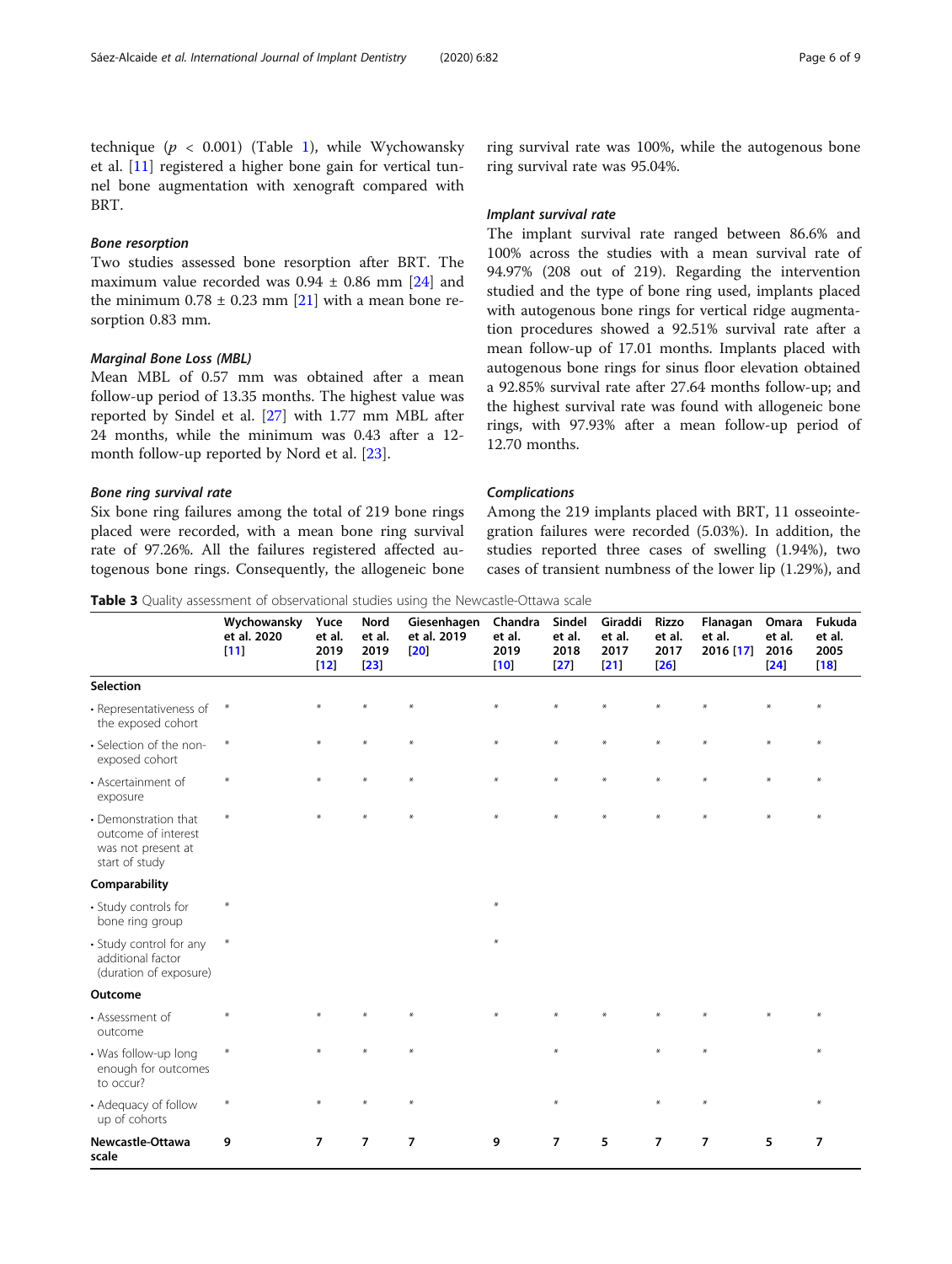<span id="page-5-0"></span>technique ( $p < 0.001$ ) (Table [1\)](#page-3-0), while Wychowansky et al. [[11](#page-7-0)] registered a higher bone gain for vertical tunnel bone augmentation with xenograft compared with BRT.

#### Bone resorption

Two studies assessed bone resorption after BRT. The maximum value recorded was  $0.94 \pm 0.86$  mm [[24\]](#page-8-0) and the minimum  $0.78 \pm 0.23$  mm [[21](#page-8-0)] with a mean bone resorption 0.83 mm.

### Marginal Bone Loss (MBL)

Mean MBL of 0.57 mm was obtained after a mean follow-up period of 13.35 months. The highest value was reported by Sindel et al. [[27\]](#page-8-0) with 1.77 mm MBL after 24 months, while the minimum was 0.43 after a 12 month follow-up reported by Nord et al. [\[23](#page-8-0)].

#### Bone ring survival rate

Six bone ring failures among the total of 219 bone rings placed were recorded, with a mean bone ring survival rate of 97.26%. All the failures registered affected autogenous bone rings. Consequently, the allogeneic bone

ring survival rate was 100%, while the autogenous bone ring survival rate was 95.04%.

#### Implant survival rate

The implant survival rate ranged between 86.6% and 100% across the studies with a mean survival rate of 94.97% (208 out of 219). Regarding the intervention studied and the type of bone ring used, implants placed with autogenous bone rings for vertical ridge augmentation procedures showed a 92.51% survival rate after a mean follow-up of 17.01 months. Implants placed with autogenous bone rings for sinus floor elevation obtained a 92.85% survival rate after 27.64 months follow-up; and the highest survival rate was found with allogeneic bone rings, with 97.93% after a mean follow-up period of 12.70 months.

#### Complications

Among the 219 implants placed with BRT, 11 osseointegration failures were recorded (5.03%). In addition, the studies reported three cases of swelling (1.94%), two cases of transient numbness of the lower lip (1.29%), and

Table 3 Quality assessment of observational studies using the Newcastle-Ottawa scale

|                                                                                     | Wychowansky<br>et al. 2020<br>$[11]$ | Yuce<br>et al.<br>2019<br>$[12]$ | Nord<br>et al.<br>2019<br>$\sqrt{23}$ | Giesenhagen<br>et al. 2019<br>[20] | Chandra<br>et al.<br>2019<br> 10 | Sindel<br>et al.<br>2018<br>$[27]$ | Giraddi<br>et al.<br>2017<br>$[21]$ | Rizzo<br>et al.<br>2017<br>[26] | Flanagan<br>et al.<br>2016 [17] | Omara<br>et al.<br>2016<br>$\sqrt{24}$ | Fukuda<br>et al.<br>2005<br>$[18]$ |
|-------------------------------------------------------------------------------------|--------------------------------------|----------------------------------|---------------------------------------|------------------------------------|----------------------------------|------------------------------------|-------------------------------------|---------------------------------|---------------------------------|----------------------------------------|------------------------------------|
| <b>Selection</b>                                                                    |                                      |                                  |                                       |                                    |                                  |                                    |                                     |                                 |                                 |                                        |                                    |
| • Representativeness of<br>the exposed cohort                                       | $\ast$                               |                                  |                                       | ¥                                  | $*$                              | $\ast$                             |                                     | $\ast$                          |                                 | ¥                                      | $\ast$                             |
| • Selection of the non-<br>exposed cohort                                           | $\ast$                               | $*$                              | $*$                                   | $*$                                | $\ast$                           | $\ast$                             | $\ast$                              | $\ast$                          | $*$                             | $\ast$                                 | $*$                                |
| • Ascertainment of<br>exposure                                                      | $\ast$                               | $\ast$                           | $*$                                   | $\ast$                             | $\ast$                           | $\ast$                             | $\ast$                              | $\ast$                          | $\ast$                          | $\ast$                                 | $*$                                |
| • Demonstration that<br>outcome of interest<br>was not present at<br>start of study | $\ast$                               |                                  |                                       | $\ast$                             | ¥                                | ¥                                  |                                     |                                 |                                 |                                        |                                    |
| Comparability                                                                       |                                      |                                  |                                       |                                    |                                  |                                    |                                     |                                 |                                 |                                        |                                    |
| • Study controls for<br>bone ring group                                             | $\ast$                               |                                  |                                       |                                    | $*$                              |                                    |                                     |                                 |                                 |                                        |                                    |
| • Study control for any<br>additional factor<br>(duration of exposure)              | $\ast$                               |                                  |                                       |                                    | $*$                              |                                    |                                     |                                 |                                 |                                        |                                    |
| Outcome                                                                             |                                      |                                  |                                       |                                    |                                  |                                    |                                     |                                 |                                 |                                        |                                    |
| • Assessment of<br>outcome                                                          | $\star$                              |                                  |                                       |                                    |                                  |                                    |                                     |                                 |                                 |                                        |                                    |
| • Was follow-up long<br>enough for outcomes<br>to occur?                            | $\ast$                               |                                  |                                       | $\ast$                             |                                  | $\ast$                             |                                     | $*$                             | $*$                             |                                        |                                    |
| • Adequacy of follow<br>up of cohorts                                               | $\ast$                               |                                  |                                       | $\ast$                             |                                  | $\ast$                             |                                     | $\star$                         | $\ast$                          |                                        | $*$                                |
| Newcastle-Ottawa<br>scale                                                           | 9                                    | $\overline{7}$                   | $\overline{7}$                        | $\overline{7}$                     | 9                                | $\overline{7}$                     | 5                                   | $\overline{7}$                  | 7                               | 5                                      | 7                                  |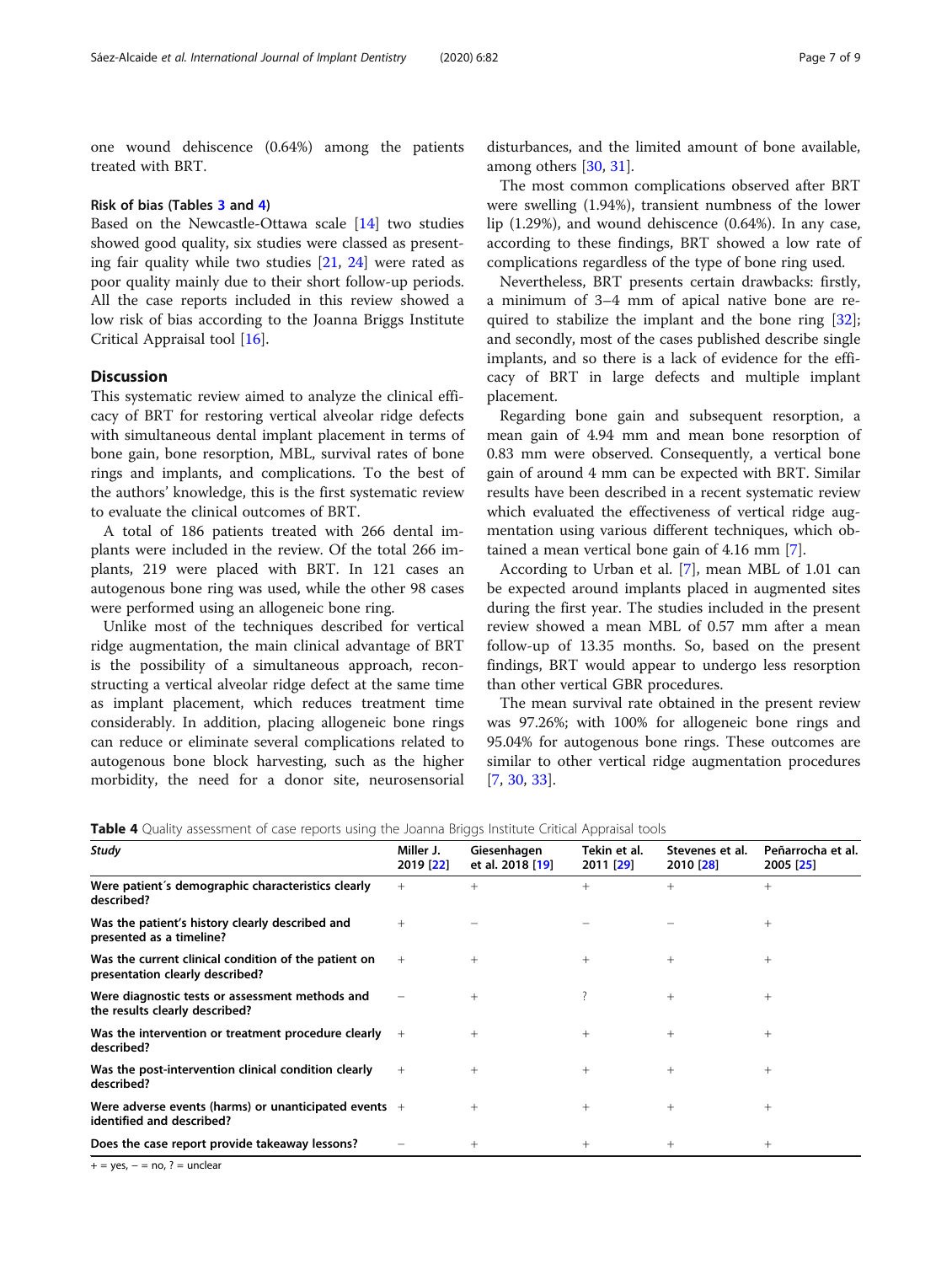one wound dehiscence (0.64%) among the patients treated with BRT.

#### Risk of bias (Tables [3](#page-5-0) and 4)

Based on the Newcastle-Ottawa scale [[14\]](#page-8-0) two studies showed good quality, six studies were classed as presenting fair quality while two studies [[21,](#page-8-0) [24](#page-8-0)] were rated as poor quality mainly due to their short follow-up periods. All the case reports included in this review showed a low risk of bias according to the Joanna Briggs Institute Critical Appraisal tool [\[16](#page-8-0)].

#### **Discussion**

This systematic review aimed to analyze the clinical efficacy of BRT for restoring vertical alveolar ridge defects with simultaneous dental implant placement in terms of bone gain, bone resorption, MBL, survival rates of bone rings and implants, and complications. To the best of the authors' knowledge, this is the first systematic review to evaluate the clinical outcomes of BRT.

A total of 186 patients treated with 266 dental implants were included in the review. Of the total 266 implants, 219 were placed with BRT. In 121 cases an autogenous bone ring was used, while the other 98 cases were performed using an allogeneic bone ring.

Unlike most of the techniques described for vertical ridge augmentation, the main clinical advantage of BRT is the possibility of a simultaneous approach, reconstructing a vertical alveolar ridge defect at the same time as implant placement, which reduces treatment time considerably. In addition, placing allogeneic bone rings can reduce or eliminate several complications related to autogenous bone block harvesting, such as the higher morbidity, the need for a donor site, neurosensorial

disturbances, and the limited amount of bone available, among others [\[30,](#page-8-0) [31\]](#page-8-0).

The most common complications observed after BRT were swelling (1.94%), transient numbness of the lower lip (1.29%), and wound dehiscence (0.64%). In any case, according to these findings, BRT showed a low rate of complications regardless of the type of bone ring used.

Nevertheless, BRT presents certain drawbacks: firstly, a minimum of 3–4 mm of apical native bone are required to stabilize the implant and the bone ring [\[32](#page-8-0)]; and secondly, most of the cases published describe single implants, and so there is a lack of evidence for the efficacy of BRT in large defects and multiple implant placement.

Regarding bone gain and subsequent resorption, a mean gain of 4.94 mm and mean bone resorption of 0.83 mm were observed. Consequently, a vertical bone gain of around 4 mm can be expected with BRT. Similar results have been described in a recent systematic review which evaluated the effectiveness of vertical ridge augmentation using various different techniques, which obtained a mean vertical bone gain of 4.16 mm [\[7](#page-7-0)].

According to Urban et al. [[7\]](#page-7-0), mean MBL of 1.01 can be expected around implants placed in augmented sites during the first year. The studies included in the present review showed a mean MBL of 0.57 mm after a mean follow-up of 13.35 months. So, based on the present findings, BRT would appear to undergo less resorption than other vertical GBR procedures.

The mean survival rate obtained in the present review was 97.26%; with 100% for allogeneic bone rings and 95.04% for autogenous bone rings. These outcomes are similar to other vertical ridge augmentation procedures [[7,](#page-7-0) [30,](#page-8-0) [33\]](#page-8-0).

Table 4 Quality assessment of case reports using the Joanna Briggs Institute Critical Appraisal tools

| Miller J.<br>2019 [22]                                  | Giesenhagen<br>et al. 2018 [19] | Tekin et al.<br>2011 [29] | Stevenes et al.<br>2010 [28] | Peñarrocha et al.<br>2005 [25] |
|---------------------------------------------------------|---------------------------------|---------------------------|------------------------------|--------------------------------|
| $^{+}$                                                  | $^{+}$                          | $+$                       | $^{+}$                       | $^{+}$                         |
| $^{+}$                                                  |                                 |                           |                              | $^{+}$                         |
| $+$                                                     | $^{+}$                          | $^{+}$                    | $+$                          | $^{+}$                         |
|                                                         | $+$                             |                           | $^{+}$                       | $^{+}$                         |
| Was the intervention or treatment procedure clearly $+$ | $^{+}$                          | $^{+}$                    | $^{+}$                       | $^{+}$                         |
| $^{+}$                                                  | $+$                             | $+$                       | $+$                          | $^{+}$                         |
| Were adverse events (harms) or unanticipated events $+$ | $+$                             | $^{+}$                    | $+$                          | $^{+}$                         |
|                                                         | $^{+}$                          | $^{+}$                    | $^{+}$                       | $^{+}$                         |
|                                                         |                                 |                           |                              |                                |

+ = yes, − = no, ? = unclear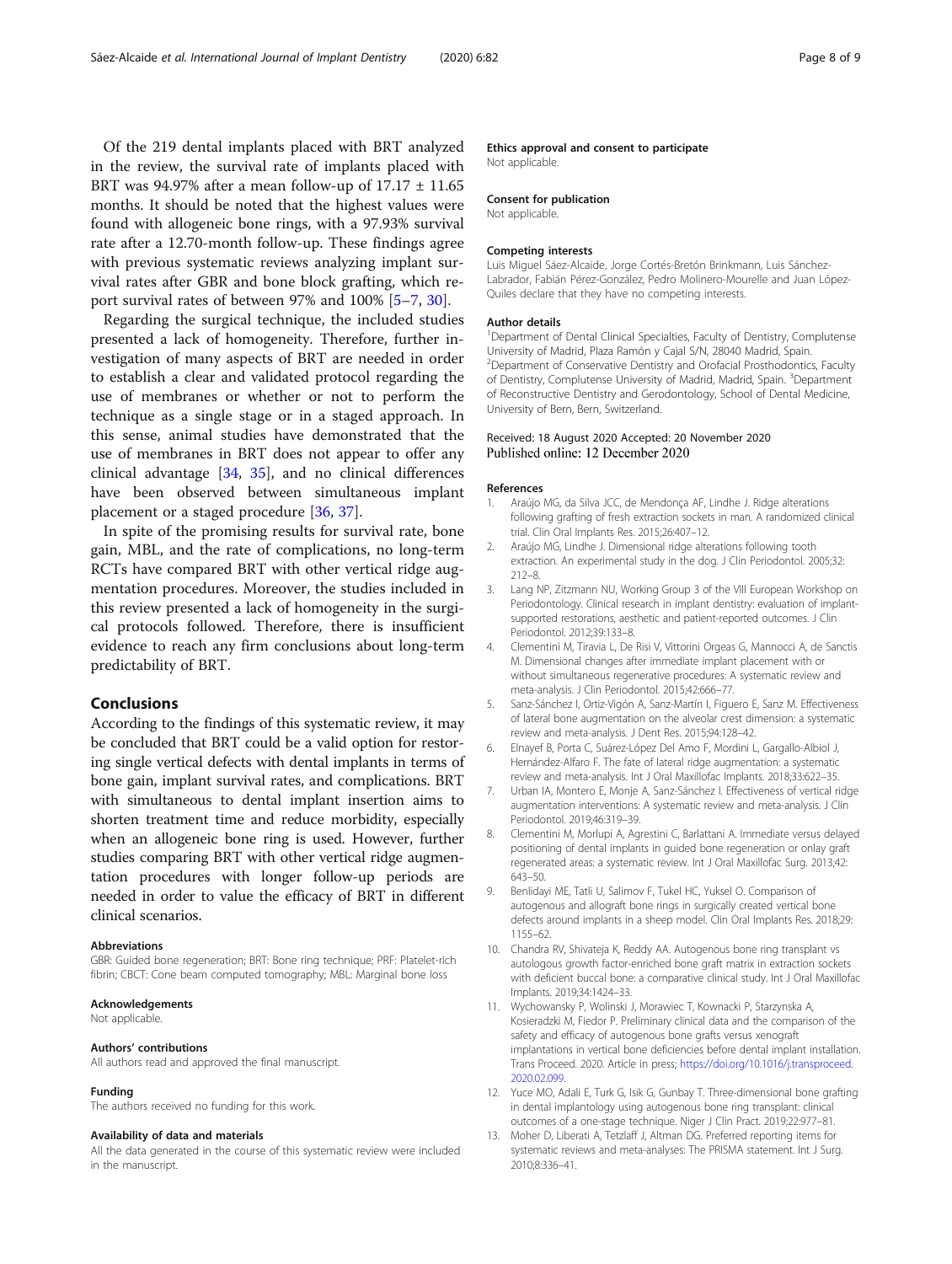<span id="page-7-0"></span>Of the 219 dental implants placed with BRT analyzed in the review, the survival rate of implants placed with BRT was 94.97% after a mean follow-up of  $17.17 \pm 11.65$ months. It should be noted that the highest values were found with allogeneic bone rings, with a 97.93% survival rate after a 12.70-month follow-up. These findings agree with previous systematic reviews analyzing implant survival rates after GBR and bone block grafting, which report survival rates of between 97% and 100% [5–7, [30\]](#page-8-0).

Regarding the surgical technique, the included studies presented a lack of homogeneity. Therefore, further investigation of many aspects of BRT are needed in order to establish a clear and validated protocol regarding the use of membranes or whether or not to perform the technique as a single stage or in a staged approach. In this sense, animal studies have demonstrated that the use of membranes in BRT does not appear to offer any clinical advantage [[34](#page-8-0), [35](#page-8-0)], and no clinical differences have been observed between simultaneous implant placement or a staged procedure [[36,](#page-8-0) [37\]](#page-8-0).

In spite of the promising results for survival rate, bone gain, MBL, and the rate of complications, no long-term RCTs have compared BRT with other vertical ridge augmentation procedures. Moreover, the studies included in this review presented a lack of homogeneity in the surgical protocols followed. Therefore, there is insufficient evidence to reach any firm conclusions about long-term predictability of BRT.

#### Conclusions

According to the findings of this systematic review, it may be concluded that BRT could be a valid option for restoring single vertical defects with dental implants in terms of bone gain, implant survival rates, and complications. BRT with simultaneous to dental implant insertion aims to shorten treatment time and reduce morbidity, especially when an allogeneic bone ring is used. However, further studies comparing BRT with other vertical ridge augmentation procedures with longer follow-up periods are needed in order to value the efficacy of BRT in different clinical scenarios.

#### Abbreviations

GBR: Guided bone regeneration; BRT: Bone ring technique; PRF: Platelet-rich fibrin; CBCT: Cone beam computed tomography; MBL: Marginal bone loss

#### Acknowledgements

Not applicable.

#### Authors' contributions

All authors read and approved the final manuscript.

#### Funding

The authors received no funding for this work.

#### Availability of data and materials

All the data generated in the course of this systematic review were included in the manuscript.

Ethics approval and consent to participate

Not applicable.

#### Consent for publication

Not applicable.

#### Competing interests

Luis Miguel Sáez-Alcaide, Jorge Cortés-Bretón Brinkmann, Luis Sánchez-Labrador, Fabián Pérez-González, Pedro Molinero-Mourelle and Juan López-Quiles declare that they have no competing interests.

#### Author details

<sup>1</sup>Department of Dental Clinical Specialties, Faculty of Dentistry, Complutense University of Madrid, Plaza Ramón y Cajal S/N, 28040 Madrid, Spain. <sup>2</sup> Department of Conservative Dentistry and Orofacial Prosthodontics, Faculty of Dentistry, Complutense University of Madrid, Madrid, Spain. <sup>3</sup>Department of Reconstructive Dentistry and Gerodontology, School of Dental Medicine, University of Bern, Bern, Switzerland.

#### Received: 18 August 2020 Accepted: 20 November 2020 Published online: 12 December 2020

#### References

- 1. Araújo MG, da Silva JCC, de Mendonça AF, Lindhe J. Ridge alterations following grafting of fresh extraction sockets in man. A randomized clinical trial. Clin Oral Implants Res. 2015;26:407–12.
- 2. Araújo MG, Lindhe J. Dimensional ridge alterations following tooth extraction. An experimental study in the dog. J Clin Periodontol. 2005;32: 212–8.
- 3. Lang NP, Zitzmann NU, Working Group 3 of the VIII European Workshop on Periodontology. Clinical research in implant dentistry: evaluation of implantsupported restorations, aesthetic and patient-reported outcomes. J Clin Periodontol. 2012;39:133–8.
- 4. Clementini M, Tiravia L, De Risi V, Vittorini Orgeas G, Mannocci A, de Sanctis M. Dimensional changes after immediate implant placement with or without simultaneous regenerative procedures: A systematic review and meta-analysis. J Clin Periodontol. 2015;42:666–77.
- 5. Sanz-Sánchez I, Ortiz-Vigón A, Sanz-Martín I, Figuero E, Sanz M. Effectiveness of lateral bone augmentation on the alveolar crest dimension: a systematic review and meta-analysis. J Dent Res. 2015;94:128–42.
- 6. Elnayef B, Porta C, Suárez-López Del Amo F, Mordini L, Gargallo-Albiol J, Hernández-Alfaro F. The fate of lateral ridge augmentation: a systematic review and meta-analysis. Int J Oral Maxillofac Implants. 2018;33:622–35.
- 7. Urban IA, Montero E, Monje A, Sanz-Sánchez I. Effectiveness of vertical ridge augmentation interventions: A systematic review and meta-analysis. J Clin Periodontol. 2019;46:319–39.
- 8. Clementini M, Morlupi A, Agrestini C, Barlattani A. Immediate versus delayed positioning of dental implants in guided bone regeneration or onlay graft regenerated areas: a systematic review. Int J Oral Maxillofac Surg. 2013;42: 643–50.
- 9. Benlidayi ME, Tatli U, Salimov F, Tukel HC, Yuksel O. Comparison of autogenous and allograft bone rings in surgically created vertical bone defects around implants in a sheep model. Clin Oral Implants Res. 2018;29: 1155–62.
- 10. Chandra RV, Shivateja K, Reddy AA. Autogenous bone ring transplant vs autologous growth factor-enriched bone graft matrix in extraction sockets with deficient buccal bone: a comparative clinical study. Int J Oral Maxillofac Implants. 2019;34:1424–33.
- 11. Wychowansky P, Wolinski J, Morawiec T, Kownacki P, Starzynska A, Kosieradzki M, Fiedor P. Preliminary clinical data and the comparison of the safety and efficacy of autogenous bone grafts versus xenograft implantations in vertical bone deficiencies before dental implant installation. Trans Proceed. 2020. Article in press; [https://doi.org/10.1016/j.transproceed.](https://doi.org/10.1016/j.transproceed.2020.02.099) [2020.02.099.](https://doi.org/10.1016/j.transproceed.2020.02.099)
- 12. Yuce MO, Adali E, Turk G, Isik G, Gunbay T. Three-dimensional bone grafting in dental implantology using autogenous bone ring transplant: clinical outcomes of a one-stage technique. Niger J Clin Pract. 2019;22:977–81.
- 13. Moher D, Liberati A, Tetzlaff J, Altman DG. Preferred reporting items for systematic reviews and meta-analyses: The PRISMA statement. Int J Surg. 2010;8:336–41.